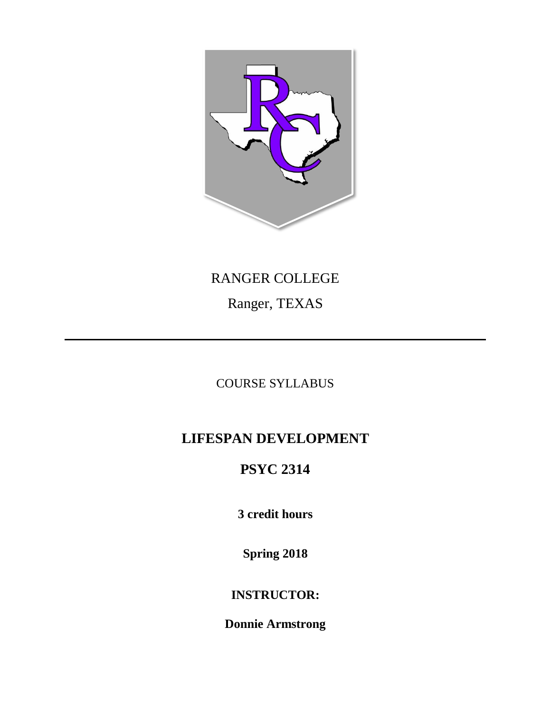

# RANGER COLLEGE Ranger, TEXAS

### COURSE SYLLABUS

# **LIFESPAN DEVELOPMENT**

# **PSYC 2314**

**3 credit hours**

**Spring 2018**

## **INSTRUCTOR:**

**Donnie Armstrong**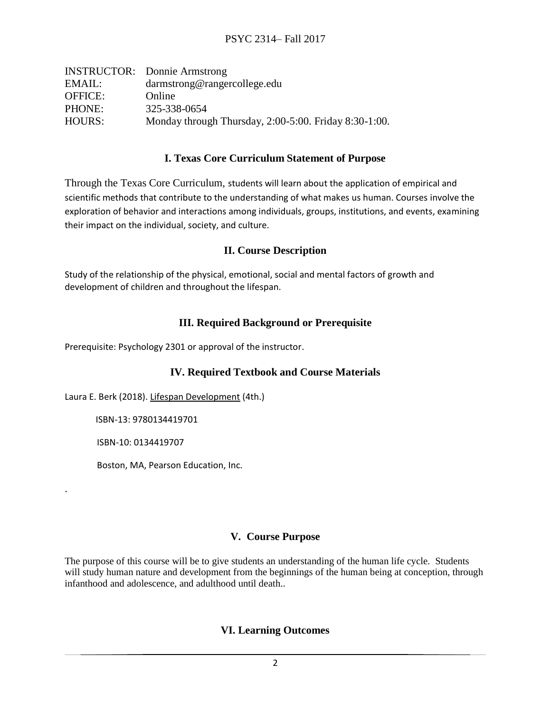|                | <b>INSTRUCTOR:</b> Donnie Armstrong                         |
|----------------|-------------------------------------------------------------|
| EMAIL:         | darmstrong@rangercollege.edu                                |
| <b>OFFICE:</b> | Online                                                      |
| PHONE:         | 325-338-0654                                                |
| HOURS:         | Monday through Thursday, $2:00-5:00$ . Friday $8:30-1:00$ . |

#### **I. Texas Core Curriculum Statement of Purpose**

Through the Texas Core Curriculum, students will learn about the application of empirical and scientific methods that contribute to the understanding of what makes us human. Courses involve the exploration of behavior and interactions among individuals, groups, institutions, and events, examining their impact on the individual, society, and culture.

#### **II. Course Description**

Study of the relationship of the physical, emotional, social and mental factors of growth and development of children and throughout the lifespan.

#### **III. Required Background or Prerequisite**

Prerequisite: Psychology 2301 or approval of the instructor.

#### **IV. Required Textbook and Course Materials**

Laura E. Berk (2018). Lifespan Development (4th.)

ISBN-13: 9780134419701

ISBN-10: 0134419707

.

Boston, MA, Pearson Education, Inc.

#### **V. Course Purpose**

The purpose of this course will be to give students an understanding of the human life cycle. Students will study human nature and development from the beginnings of the human being at conception, through infanthood and adolescence, and adulthood until death..

#### **VI. Learning Outcomes**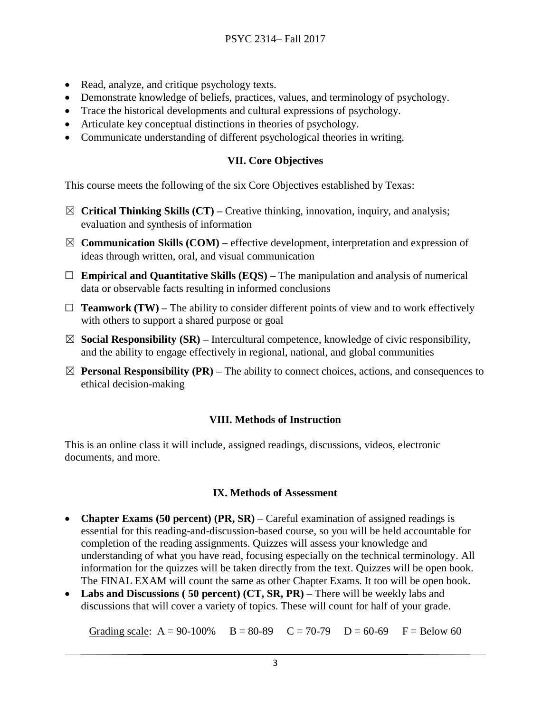- Read, analyze, and critique psychology texts.
- Demonstrate knowledge of beliefs, practices, values, and terminology of psychology.
- Trace the historical developments and cultural expressions of psychology.
- Articulate key conceptual distinctions in theories of psychology.
- Communicate understanding of different psychological theories in writing.

#### **VII. Core Objectives**

This course meets the following of the six Core Objectives established by Texas:

- ☒ **Critical Thinking Skills (CT) –** Creative thinking, innovation, inquiry, and analysis; evaluation and synthesis of information
- $\boxtimes$  **Communication Skills (COM)** effective development, interpretation and expression of ideas through written, oral, and visual communication
- ☐ **Empirical and Quantitative Skills (EQS) –** The manipulation and analysis of numerical data or observable facts resulting in informed conclusions
- $\Box$  **Teamwork (TW)** The ability to consider different points of view and to work effectively with others to support a shared purpose or goal
- $\boxtimes$  **Social Responsibility (SR)** Intercultural competence, knowledge of civic responsibility, and the ability to engage effectively in regional, national, and global communities
- $\boxtimes$  **Personal Responsibility (PR)** The ability to connect choices, actions, and consequences to ethical decision-making

#### **VIII. Methods of Instruction**

This is an online class it will include, assigned readings, discussions, videos, electronic documents, and more.

#### **IX. Methods of Assessment**

- **Chapter Exams (50 percent) (PR, SR)**  Careful examination of assigned readings is essential for this reading-and-discussion-based course, so you will be held accountable for completion of the reading assignments. Quizzes will assess your knowledge and understanding of what you have read, focusing especially on the technical terminology. All information for the quizzes will be taken directly from the text. Quizzes will be open book. The FINAL EXAM will count the same as other Chapter Exams. It too will be open book.
- **Labs and Discussions ( 50 percent) (CT, SR, PR)**  There will be weekly labs and discussions that will cover a variety of topics. These will count for half of your grade.

Grading scale:  $A = 90-100\%$   $B = 80-89$   $C = 70-79$   $D = 60-69$   $F = Below 60$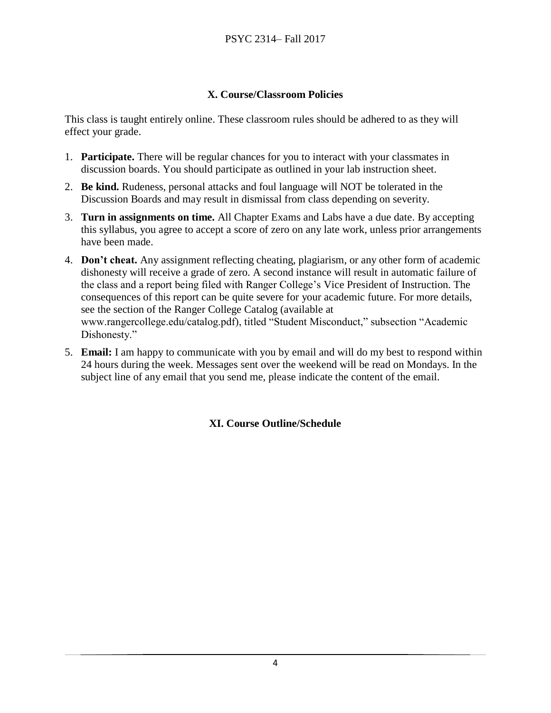#### **X. Course/Classroom Policies**

This class is taught entirely online. These classroom rules should be adhered to as they will effect your grade.

- 1. **Participate.** There will be regular chances for you to interact with your classmates in discussion boards. You should participate as outlined in your lab instruction sheet.
- 2. **Be kind.** Rudeness, personal attacks and foul language will NOT be tolerated in the Discussion Boards and may result in dismissal from class depending on severity.
- 3. **Turn in assignments on time.** All Chapter Exams and Labs have a due date. By accepting this syllabus, you agree to accept a score of zero on any late work, unless prior arrangements have been made.
- 4. **Don't cheat.** Any assignment reflecting cheating, plagiarism, or any other form of academic dishonesty will receive a grade of zero. A second instance will result in automatic failure of the class and a report being filed with Ranger College's Vice President of Instruction. The consequences of this report can be quite severe for your academic future. For more details, see the section of the Ranger College Catalog (available at www.rangercollege.edu/catalog.pdf), titled "Student Misconduct," subsection "Academic Dishonesty."
- 5. **Email:** I am happy to communicate with you by email and will do my best to respond within 24 hours during the week. Messages sent over the weekend will be read on Mondays. In the subject line of any email that you send me, please indicate the content of the email.

#### **XI. Course Outline/Schedule**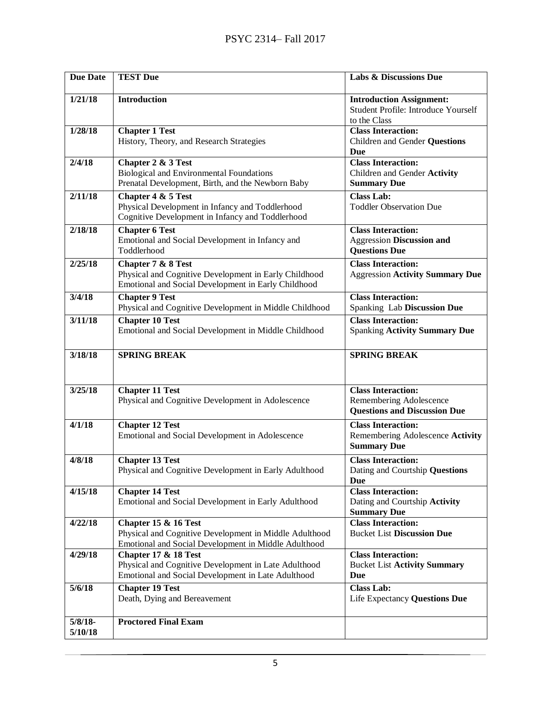| <b>Due Date</b>       | <b>TEST Due</b>                                                                                                                        | <b>Labs &amp; Discussions Due</b>                                                             |
|-----------------------|----------------------------------------------------------------------------------------------------------------------------------------|-----------------------------------------------------------------------------------------------|
| 1/21/18               | <b>Introduction</b>                                                                                                                    | <b>Introduction Assignment:</b><br><b>Student Profile: Introduce Yourself</b><br>to the Class |
| 1/28/18               | <b>Chapter 1 Test</b><br>History, Theory, and Research Strategies                                                                      | <b>Class Interaction:</b><br>Children and Gender Questions<br>Due                             |
| 2/4/18                | Chapter 2 & 3 Test<br><b>Biological and Environmental Foundations</b><br>Prenatal Development, Birth, and the Newborn Baby             | <b>Class Interaction:</b><br>Children and Gender Activity<br><b>Summary Due</b>               |
| 2/11/18               | Chapter 4 & 5 Test<br>Physical Development in Infancy and Toddlerhood<br>Cognitive Development in Infancy and Toddlerhood              | <b>Class Lab:</b><br><b>Toddler Observation Due</b>                                           |
| 2/18/18               | <b>Chapter 6 Test</b><br>Emotional and Social Development in Infancy and<br>Toddlerhood                                                | <b>Class Interaction:</b><br>Aggression Discussion and<br><b>Questions Due</b>                |
| 2/25/18               | Chapter 7 & 8 Test<br>Physical and Cognitive Development in Early Childhood<br>Emotional and Social Development in Early Childhood     | <b>Class Interaction:</b><br><b>Aggression Activity Summary Due</b>                           |
| 3/4/18                | <b>Chapter 9 Test</b><br>Physical and Cognitive Development in Middle Childhood                                                        | <b>Class Interaction:</b><br>Spanking Lab Discussion Due                                      |
| 3/11/18               | <b>Chapter 10 Test</b><br>Emotional and Social Development in Middle Childhood                                                         | <b>Class Interaction:</b><br><b>Spanking Activity Summary Due</b>                             |
| 3/18/18               | <b>SPRING BREAK</b>                                                                                                                    | <b>SPRING BREAK</b>                                                                           |
| 3/25/18               | <b>Chapter 11 Test</b><br>Physical and Cognitive Development in Adolescence                                                            | <b>Class Interaction:</b><br>Remembering Adolescence<br><b>Questions and Discussion Due</b>   |
| 4/1/18                | <b>Chapter 12 Test</b><br>Emotional and Social Development in Adolescence                                                              | <b>Class Interaction:</b><br>Remembering Adolescence Activity<br><b>Summary Due</b>           |
| 4/8/18                | <b>Chapter 13 Test</b><br>Physical and Cognitive Development in Early Adulthood                                                        | <b>Class Interaction:</b><br>Dating and Courtship Questions<br><b>Due</b>                     |
| 4/15/18               | <b>Chapter 14 Test</b><br>Emotional and Social Development in Early Adulthood                                                          | <b>Class Interaction:</b><br>Dating and Courtship Activity<br><b>Summary Due</b>              |
| 4/22/18               | Chapter 15 & 16 Test<br>Physical and Cognitive Development in Middle Adulthood<br>Emotional and Social Development in Middle Adulthood | <b>Class Interaction:</b><br><b>Bucket List Discussion Due</b>                                |
| 4/29/18               | Chapter 17 & 18 Test<br>Physical and Cognitive Development in Late Adulthood<br>Emotional and Social Development in Late Adulthood     | <b>Class Interaction:</b><br><b>Bucket List Activity Summary</b><br>Due                       |
| 5/6/18                | <b>Chapter 19 Test</b><br>Death, Dying and Bereavement                                                                                 | <b>Class Lab:</b><br>Life Expectancy Questions Due                                            |
| $5/8/18$ -<br>5/10/18 | <b>Proctored Final Exam</b>                                                                                                            |                                                                                               |